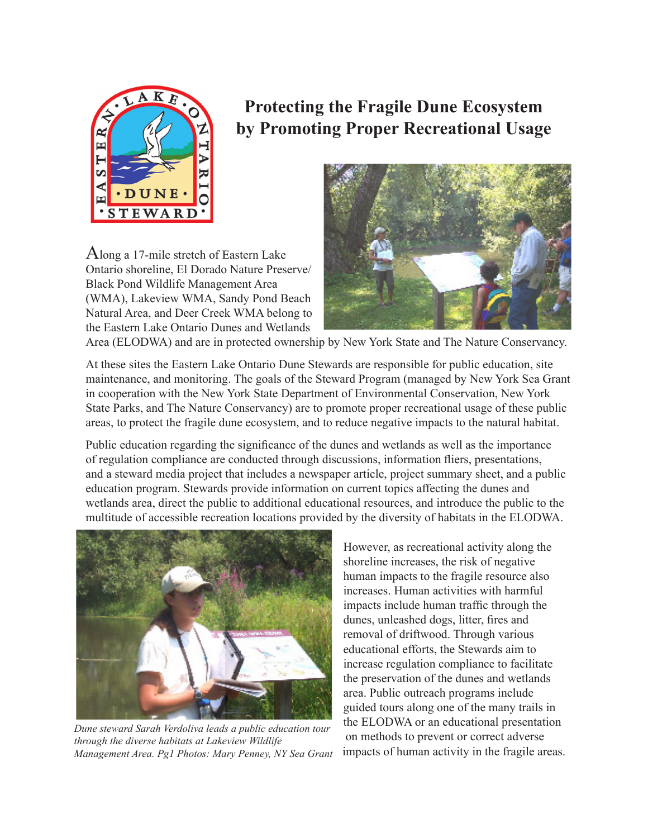

# **Protecting the Fragile Dune Ecosystem by Promoting Proper Recreational Usage**

Along a 17-mile stretch of Eastern Lake Ontario shoreline, El Dorado Nature Preserve/ Black Pond Wildlife Management Area (WMA), Lakeview WMA, Sandy Pond Beach Natural Area, and Deer Creek WMA belong to the Eastern Lake Ontario Dunes and Wetlands



Area (ELODWA) and are in protected ownership by New York State and The Nature Conservancy.

At these sites the Eastern Lake Ontario Dune Stewards are responsible for public education, site maintenance, and monitoring. The goals of the Steward Program (managed by New York Sea Grant in cooperation with the New York State Department of Environmental Conservation, New York State Parks, and The Nature Conservancy) are to promote proper recreational usage of these public areas, to protect the fragile dune ecosystem, and to reduce negative impacts to the natural habitat.

Public education regarding the significance of the dunes and wetlands as well as the importance of regulation compliance are conducted through discussions, information fliers, presentations, and a steward media project that includes a newspaper article, project summary sheet, and a public education program. Stewards provide information on current topics affecting the dunes and wetlands area, direct the public to additional educational resources, and introduce the public to the multitude of accessible recreation locations provided by the diversity of habitats in the ELODWA.



*Dune steward Sarah Verdoliva leads a public education tour through the diverse habitats at Lakeview Wildlife Management Area. Pg1 Photos: Mary Penney, NY Sea Grant* 

However, as recreational activity along the shoreline increases, the risk of negative human impacts to the fragile resource also increases. Human activities with harmful impacts include human traffic through the dunes, unleashed dogs, litter, fires and removal of driftwood. Through various educational efforts, the Stewards aim to increase regulation compliance to facilitate the preservation of the dunes and wetlands area. Public outreach programs include guided tours along one of the many trails in the ELODWA or an educational presentation on methods to prevent or correct adverse impacts of human activity in the fragile areas.